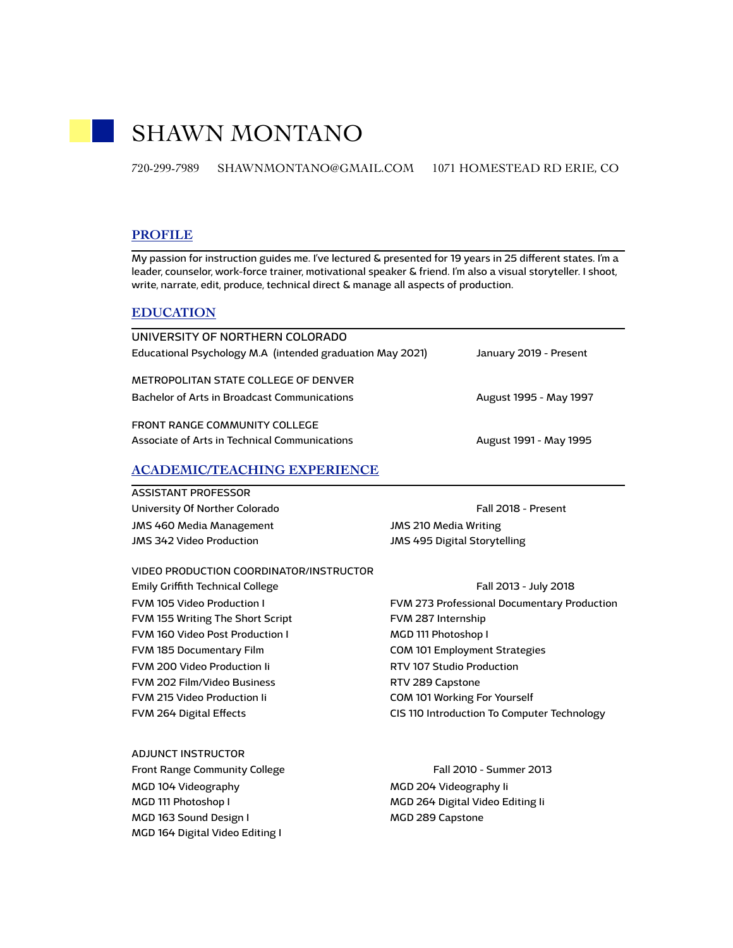# SHAWN MONTANO

720-299-7989 SHAWNMONTANO@GMAIL.COM 1071 HOMESTEAD RD ERIE, CO

# **PROFILE**

My passion for instruction guides me. I've lectured & presented for 19 years in 25 diferent states. I'm a leader, counselor, work-force trainer, motivational speaker & friend. I'm also a visual storyteller. I shoot, write, narrate, edit, produce, technical direct & manage all aspects of production.

### **EDUCATION**

| UNIVERSITY OF NORTHERN COLORADO                           |                        |
|-----------------------------------------------------------|------------------------|
| Educational Psychology M.A (intended graduation May 2021) | January 2019 - Present |
| METROPOLITAN STATE COLLEGE OF DENVER                      |                        |
| Bachelor of Arts in Broadcast Communications              | August 1995 - May 1997 |
| FRONT RANGE COMMUNITY COLLEGE                             |                        |
| Associate of Arts in Technical Communications             | August 1991 - May 1995 |

# **ACADEMIC/TEACHING EXPERIENCE**

#### ASSISTANT PROFESSOR

University Of Norther Colorado **Fall 2018** - Present JMS 460 Media Management JMS 342 Video Production

JMS 210 Media Writing JMS 495 Digital Storytelling

VIDEO PRODUCTION COORDINATOR/INSTRUCTOR

Emily Griffith Technical College Fall 2013 - July 2018 FVM 105 Video Production I FVM 155 Writing The Short Script FVM 160 Video Post Production I FVM 185 Documentary Film FVM 200 Video Production Ii FVM 202 Film/Video Business FVM 215 Video Production Ii FVM 264 Digital Efects

FVM 273 Professional Documentary Production FVM 287 Internship MGD 111 Photoshop I COM 101 Employment Strategies RTV 107 Studio Production RTV 289 Capstone COM 101 Working For Yourself CIS 110 Introduction To Computer Technology

ADJUNCT INSTRUCTOR Front Range Community College Fall 2010 - Summer 2013 MGD 104 Videography MGD 111 Photoshop I MGD 163 Sound Design I MGD 164 Digital Video Editing I

MGD 204 Videography Ii MGD 264 Digital Video Editing Ii MGD 289 Capstone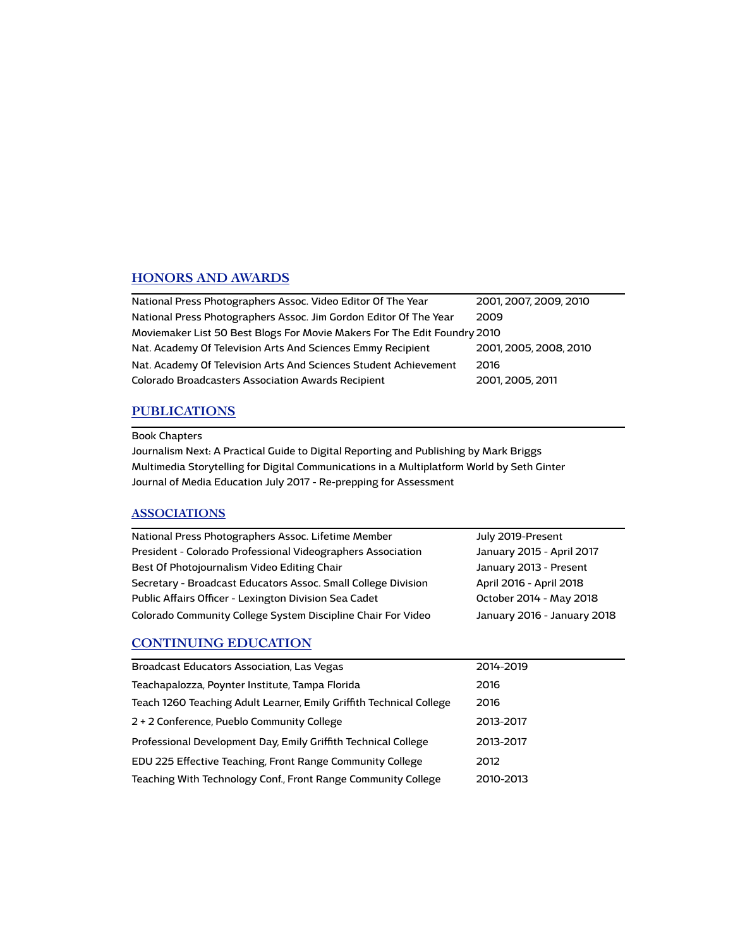# **HONORS AND AWARDS**

| National Press Photographers Assoc. Video Editor Of The Year             | 2001, 2007, 2009, 2010 |  |
|--------------------------------------------------------------------------|------------------------|--|
| National Press Photographers Assoc. Jim Gordon Editor Of The Year        | 2009                   |  |
| Moviemaker List 50 Best Blogs For Movie Makers For The Edit Foundry 2010 |                        |  |
| Nat. Academy Of Television Arts And Sciences Emmy Recipient              | 2001, 2005, 2008, 2010 |  |
| Nat. Academy Of Television Arts And Sciences Student Achievement         | 2016                   |  |
| Colorado Broadcasters Association Awards Recipient                       | 2001, 2005, 2011       |  |

# **PUBLICATIONS**

### Book Chapters

Journalism Next: A Practical Guide to Digital Reporting and Publishing by Mark Briggs Multimedia Storytelling for Digital Communications in a Multiplatform World by Seth Ginter Journal of Media Education July 2017 - Re-prepping for Assessment

# **ASSOCIATIONS**

| National Press Photographers Assoc. Lifetime Member           | July 2019-Present           |
|---------------------------------------------------------------|-----------------------------|
| President - Colorado Professional Videographers Association   | January 2015 - April 2017   |
| Best Of Photojournalism Video Editing Chair                   | January 2013 - Present      |
| Secretary - Broadcast Educators Assoc. Small College Division | April 2016 - April 2018     |
| Public Affairs Officer - Lexington Division Sea Cadet         | October 2014 - May 2018     |
| Colorado Community College System Discipline Chair For Video  | January 2016 - January 2018 |

# **CONTINUING EDUCATION**

| Broadcast Educators Association, Las Vegas                          | 2014-2019 |
|---------------------------------------------------------------------|-----------|
| Teachapalozza, Poynter Institute, Tampa Florida                     | 2016      |
| Teach 1260 Teaching Adult Learner, Emily Griffith Technical College | 2016      |
| 2 + 2 Conference, Pueblo Community College                          | 2013-2017 |
| Professional Development Day, Emily Griffith Technical College      | 2013-2017 |
| EDU 225 Effective Teaching, Front Range Community College           | 2012      |
| Teaching With Technology Conf., Front Range Community College       | 2010-2013 |